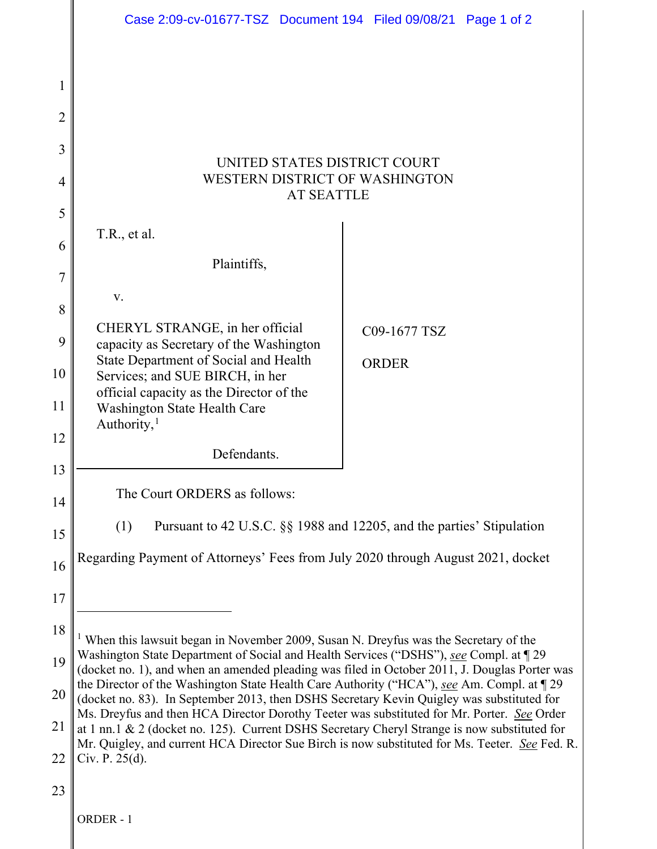|                     | Case 2:09-cv-01677-TSZ Document 194 Filed 09/08/21 Page 1 of 2                                                                                                                                                                                                                                                                                                                                                                                                                                                                                                                                                                                                                                                                                                                            |  |              |  |  |
|---------------------|-------------------------------------------------------------------------------------------------------------------------------------------------------------------------------------------------------------------------------------------------------------------------------------------------------------------------------------------------------------------------------------------------------------------------------------------------------------------------------------------------------------------------------------------------------------------------------------------------------------------------------------------------------------------------------------------------------------------------------------------------------------------------------------------|--|--------------|--|--|
| 1<br>$\overline{2}$ |                                                                                                                                                                                                                                                                                                                                                                                                                                                                                                                                                                                                                                                                                                                                                                                           |  |              |  |  |
| 3                   |                                                                                                                                                                                                                                                                                                                                                                                                                                                                                                                                                                                                                                                                                                                                                                                           |  |              |  |  |
| 4                   | UNITED STATES DISTRICT COURT<br>WESTERN DISTRICT OF WASHINGTON                                                                                                                                                                                                                                                                                                                                                                                                                                                                                                                                                                                                                                                                                                                            |  |              |  |  |
|                     | <b>AT SEATTLE</b>                                                                                                                                                                                                                                                                                                                                                                                                                                                                                                                                                                                                                                                                                                                                                                         |  |              |  |  |
| 5<br>6              | T.R., et al.                                                                                                                                                                                                                                                                                                                                                                                                                                                                                                                                                                                                                                                                                                                                                                              |  |              |  |  |
| 7                   | Plaintiffs,                                                                                                                                                                                                                                                                                                                                                                                                                                                                                                                                                                                                                                                                                                                                                                               |  |              |  |  |
| 8                   | V.                                                                                                                                                                                                                                                                                                                                                                                                                                                                                                                                                                                                                                                                                                                                                                                        |  |              |  |  |
| 9                   | CHERYL STRANGE, in her official<br>capacity as Secretary of the Washington                                                                                                                                                                                                                                                                                                                                                                                                                                                                                                                                                                                                                                                                                                                |  | C09-1677 TSZ |  |  |
| 10                  | State Department of Social and Health<br>Services; and SUE BIRCH, in her                                                                                                                                                                                                                                                                                                                                                                                                                                                                                                                                                                                                                                                                                                                  |  | <b>ORDER</b> |  |  |
| 11                  | official capacity as the Director of the<br>Washington State Health Care                                                                                                                                                                                                                                                                                                                                                                                                                                                                                                                                                                                                                                                                                                                  |  |              |  |  |
| 12                  | Authority, $1$                                                                                                                                                                                                                                                                                                                                                                                                                                                                                                                                                                                                                                                                                                                                                                            |  |              |  |  |
| 13                  | Defendants.                                                                                                                                                                                                                                                                                                                                                                                                                                                                                                                                                                                                                                                                                                                                                                               |  |              |  |  |
| 14                  | The Court ORDERS as follows:                                                                                                                                                                                                                                                                                                                                                                                                                                                                                                                                                                                                                                                                                                                                                              |  |              |  |  |
| 15                  | Pursuant to 42 U.S.C. §§ 1988 and 12205, and the parties' Stipulation<br>(1)                                                                                                                                                                                                                                                                                                                                                                                                                                                                                                                                                                                                                                                                                                              |  |              |  |  |
| 16                  | Regarding Payment of Attorneys' Fees from July 2020 through August 2021, docket                                                                                                                                                                                                                                                                                                                                                                                                                                                                                                                                                                                                                                                                                                           |  |              |  |  |
| 17                  |                                                                                                                                                                                                                                                                                                                                                                                                                                                                                                                                                                                                                                                                                                                                                                                           |  |              |  |  |
| 18                  |                                                                                                                                                                                                                                                                                                                                                                                                                                                                                                                                                                                                                                                                                                                                                                                           |  |              |  |  |
| 19                  | When this lawsuit began in November 2009, Susan N. Dreyfus was the Secretary of the<br>Washington State Department of Social and Health Services ("DSHS"), see Compl. at 129<br>(docket no. 1), and when an amended pleading was filed in October 2011, J. Douglas Porter was<br>the Director of the Washington State Health Care Authority ("HCA"), see Am. Compl. at 129<br>(docket no. 83). In September 2013, then DSHS Secretary Kevin Quigley was substituted for<br>Ms. Dreyfus and then HCA Director Dorothy Teeter was substituted for Mr. Porter. See Order<br>at 1 nn.1 & 2 (docket no. 125). Current DSHS Secretary Cheryl Strange is now substituted for<br>Mr. Quigley, and current HCA Director Sue Birch is now substituted for Ms. Teeter. See Fed. R.<br>Civ. P. 25(d). |  |              |  |  |
| 20                  |                                                                                                                                                                                                                                                                                                                                                                                                                                                                                                                                                                                                                                                                                                                                                                                           |  |              |  |  |
| 21                  |                                                                                                                                                                                                                                                                                                                                                                                                                                                                                                                                                                                                                                                                                                                                                                                           |  |              |  |  |
| 22                  |                                                                                                                                                                                                                                                                                                                                                                                                                                                                                                                                                                                                                                                                                                                                                                                           |  |              |  |  |
| 23                  |                                                                                                                                                                                                                                                                                                                                                                                                                                                                                                                                                                                                                                                                                                                                                                                           |  |              |  |  |
|                     | ORDER-1                                                                                                                                                                                                                                                                                                                                                                                                                                                                                                                                                                                                                                                                                                                                                                                   |  |              |  |  |

<span id="page-0-0"></span>II